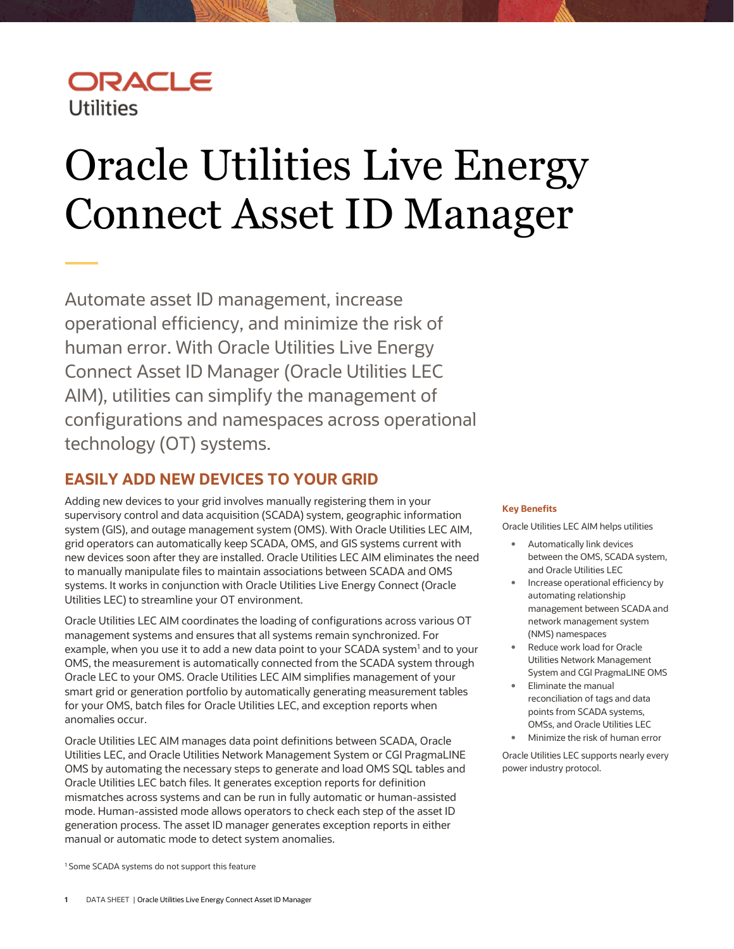## ORACLE **Utilities**

# <span id="page-0-0"></span>Oracle Utilities Live Energy Connect Asset ID Manager

Automate asset ID management, increase operational efficiency, and minimize the risk of human error. With Oracle Utilities Live Energy Connect Asset ID Manager (Oracle Utilities LEC AIM), utilities can simplify the management of configurations and namespaces across operational technology (OT) systems.

## **EASILY ADD NEW DEVICES TO YOUR GRID**

Adding new devices to your grid involves manually registering them in your supervisory control and data acquisition (SCADA) system, geographic information system (GIS), and outage management system (OMS). With Oracle Utilities LEC AIM, grid operators can automatically keep SCADA, OMS, and GIS systems current with new devices soon after they are installed. Oracle Utilities LEC AIM eliminates the need to manually manipulate files to maintain associations between SCADA and OMS systems. It works in conjunction with Oracle Utilities Live Energy Connect (Oracle Utilities LEC) to streamline your OT environment.

Oracle Utilities LEC AIM coordinates the loading of configurations across various OT management systems and ensures that all systems remain synchronized. For example, when you use it to add a new data point to your SCADA system<sup>1</sup> and to your OMS, the measurement is automatically connected from the SCADA system through Oracle LEC to your OMS. Oracle Utilities LEC AIM simplifies management of your smart grid or generation portfolio by automatically generating measurement tables for your OMS, batch files for Oracle Utilities LEC, and exception reports when anomalies occur.

Oracle Utilities LEC AIM manages data point definitions between SCADA, Oracle Utilities LEC, and Oracle Utilities Network Management System or CGI PragmaLINE OMS by automating the necessary steps to generate and load OMS SQL tables and Oracle Utilities LEC batch files. It generates exception reports for definition mismatches across systems and can be run in fully automatic or human-assisted mode. Human-assisted mode allows operators to check each step of the asset ID generation process. The asset ID manager generates exception reports in either manual or automatic mode to detect system anomalies.

#### **Key Benefits**

Oracle Utilities LEC AIM helps utilities

- Automatically link devices between the OMS, SCADA system, and Oracle Utilities LEC
- Increase operational efficiency by automating relationship management between SCADA and network management system (NMS) namespaces
- Reduce work load for Oracle Utilities Network Management System and CGI PragmaLINE OMS
- Eliminate the manual reconciliation of tags and data points from SCADA systems, OMSs, and Oracle Utilities LEC
- Minimize the risk of human error

Oracle Utilities LEC supports nearly every power industry protocol.

<sup>1</sup> Some SCADA systems do not support this feature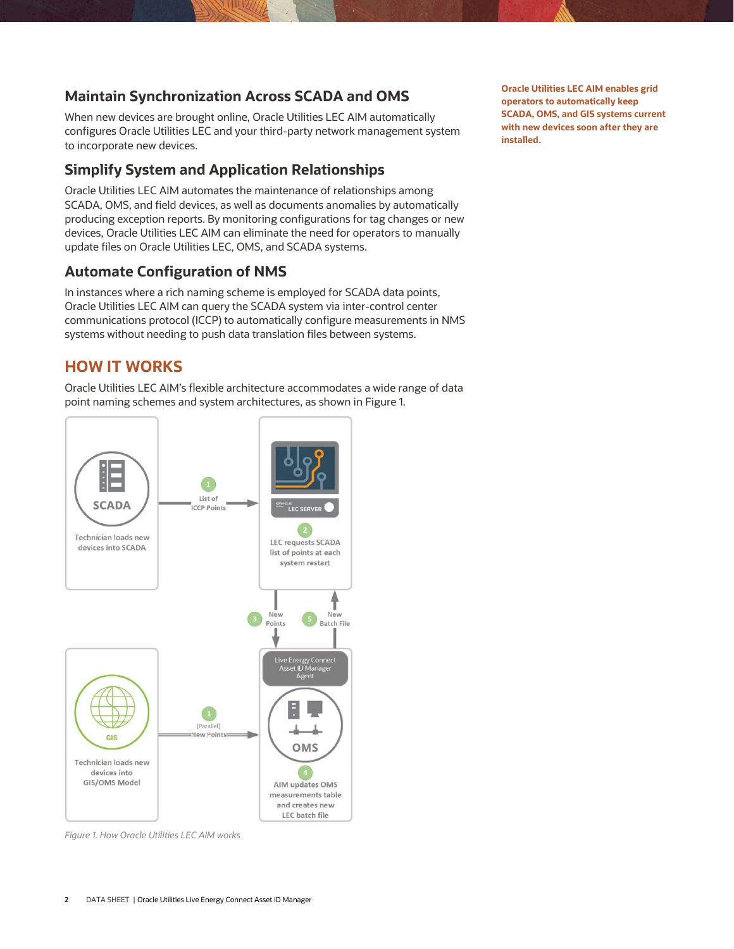## **Maintain Synchronization Across SCADA and OMS**

When new devices are brought online, Oracle Utilities LEC AIM automatically configures Oracle Utilities LEC and your third-party network management system to incorporate new devices.

## **Simplify System and Application Relationships**

Oracle Utilities LEC AIM automates the maintenance of relationships among SCADA, OMS, and field devices, as well as documents anomalies by automatically producing exception reports. By monitoring configurations for tag changes or new devices, Oracle Utilities LEC AIM can eliminate the need for operators to manually update files on Oracle Utilities LEC, OMS, and SCADA systems.

## **Automate Configuration of NMS**

In instances where a rich naming scheme is employed for SCADA data points, Oracle Utilities LEC AIM can query the SCADA system via inter-control center communications protocol (ICCP) to automatically configure measurements in NMS systems without needing to push data translation files between systems.

## **HOW IT WORKS**

Oracle Utilities LEC AIM's flexible architecture accommodates a wide range of data point naming schemes and system architectures, as shown in Figure 1.



*Figure 1. How Oracle Utilities LEC AIM works*

**Oracle Utilities LEC AIM enables grid operators to automatically keep SCADA, OMS, and GIS systems current with new devices soon after they are installed.**